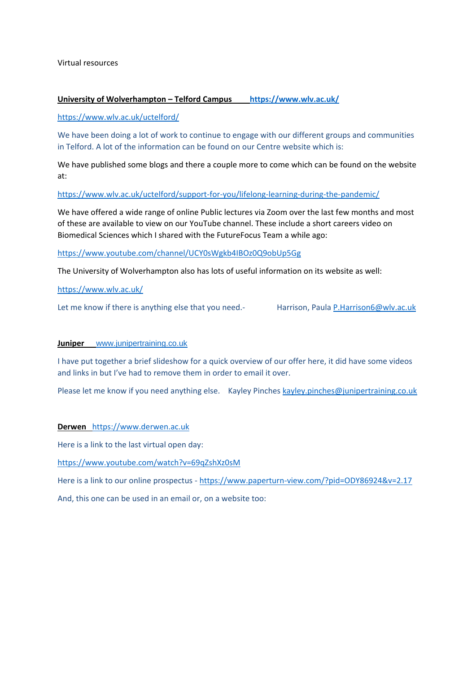Virtual resources

### **University of Wolverhampton – Telford Campus <https://www.wlv.ac.uk/>**

<https://www.wlv.ac.uk/uctelford/>

We have been doing a lot of work to continue to engage with our different groups and communities in Telford. A lot of the information can be found on our Centre website which is:

We have published some blogs and there a couple more to come which can be found on the website at:

<https://www.wlv.ac.uk/uctelford/support-for-you/lifelong-learning-during-the-pandemic/>

We have offered a wide range of online Public lectures via Zoom over the last few months and most of these are available to view on our YouTube channel. These include a short careers video on Biomedical Sciences which I shared with the FutureFocus Team a while ago:

<https://www.youtube.com/channel/UCY0sWgkb4IBOz0Q9obUp5Gg>

The University of Wolverhampton also has lots of useful information on its website as well:

<https://www.wlv.ac.uk/>

Let me know if there is anything else that you need.- Harrison, Paula [P.Harrison6@wlv.ac.uk](mailto:P.Harrison6@wlv.ac.uk)

#### **Juniper** [www.junipertraining.co.uk](http://www.junipertraining.co.uk/)

I have put together a brief slideshow for a quick overview of our offer here, it did have some videos and links in but I've had to remove them in order to email it over.

Please let me know if you need anything else. Kayley Pinches [kayley.pinches@junipertraining.co.uk](mailto:kayley.pinches@junipertraining.co.uk)

**Derwen** [https://www.derwen.ac.uk](https://www.derwen.ac.uk/)

Here is a link to the last virtual open day:

<https://www.youtube.com/watch?v=69qZshXz0sM>

Here is a link to our online prospectus - <https://www.paperturn-view.com/?pid=ODY86924&v=2.17>

And, this one can be used in an email or, on a website too: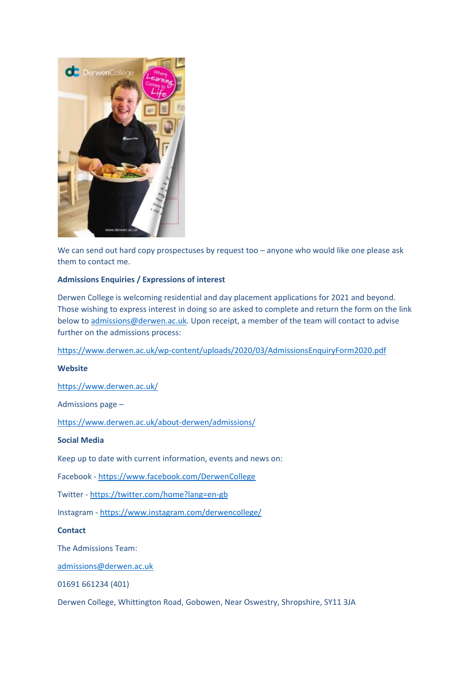

We can send out hard copy prospectuses by request too – anyone who would like one please ask them to contact me.

# **Admissions Enquiries / Expressions of interest**

Derwen College is welcoming residential and day placement applications for 2021 and beyond. Those wishing to express interest in doing so are asked to complete and return the form on the link below to [admissions@derwen.ac.uk.](mailto:admissions@derwen.ac.uk) Upon receipt, a member of the team will contact to advise further on the admissions process:

<https://www.derwen.ac.uk/wp-content/uploads/2020/03/AdmissionsEnquiryForm2020.pdf>

# **Website**

<https://www.derwen.ac.uk/>

Admissions page –

<https://www.derwen.ac.uk/about-derwen/admissions/>

### **Social Media**

Keep up to date with current information, events and news on:

Facebook - <https://www.facebook.com/DerwenCollege>

Twitter - <https://twitter.com/home?lang=en-gb>

Instagram - <https://www.instagram.com/derwencollege/>

**Contact**

The Admissions Team:

[admissions@derwen.ac.uk](mailto:admissions@derwen.ac.uk)

01691 661234 (401)

Derwen College, Whittington Road, Gobowen, Near Oswestry, Shropshire, SY11 3JA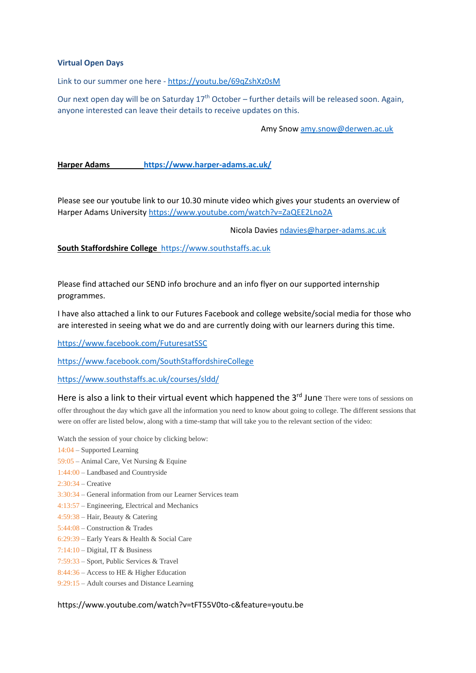### **Virtual Open Days**

Link to our summer one here - <https://youtu.be/69qZshXz0sM>

Our next open day will be on Saturday 17<sup>th</sup> October – further details will be released soon. Again, anyone interested can leave their details to receive updates on this.

Amy Snow [amy.snow@derwen.ac.uk](mailto:amy.snow@derwen.ac.uk)

### **Harper Adams <https://www.harper-adams.ac.uk/>**

Please see our youtube link to our 10.30 minute video which gives your students an overview of Harper Adams University <https://www.youtube.com/watch?v=ZaQEE2Lno2A>

Nicola Davies [ndavies@harper-adams.ac.uk](mailto:ndavies@harper-adams.ac.uk)

**South Staffordshire College** [https://www.southstaffs.ac.uk](https://www.southstaffs.ac.uk/)

Please find attached our SEND info brochure and an info flyer on our supported internship programmes.

I have also attached a link to our Futures Facebook and college website/social media for those who are interested in seeing what we do and are currently doing with our learners during this time.

<https://www.facebook.com/FuturesatSSC>

<https://www.facebook.com/SouthStaffordshireCollege>

<https://www.southstaffs.ac.uk/courses/sldd/>

Here is also a link to their virtual event which happened the 3<sup>rd</sup> June There were tons of sessions on offer throughout the day which gave all the information you need to know about going to college. The different sessions that were on offer are listed below, along with a time-stamp that will take you to the relevant section of the video:

- Watch the session of your choice by clicking below:
- [14:04](https://www.youtube.com/watch?v=tFT55V0to-c&t=844s) Supported Learning
- [59:05](https://www.youtube.com/watch?v=tFT55V0to-c&t=3545s) Animal Care, Vet Nursing & Equine
- [1:44:00](https://www.youtube.com/watch?v=tFT55V0to-c&t=6240s) Landbased and Countryside
- [2:30:34](https://www.youtube.com/watch?v=tFT55V0to-c&t=9034s) Creative
- [3:30:34](https://www.youtube.com/watch?v=tFT55V0to-c&t=12634s) General information from our Learner Services team
- [4:13:57](https://www.youtube.com/watch?v=tFT55V0to-c&t=15237s) Engineering, Electrical and Mechanics
- [4:59:38](https://www.youtube.com/watch?v=tFT55V0to-c&t=17978s) Hair, Beauty & Catering
- [5:44:08](https://www.youtube.com/watch?v=tFT55V0to-c&t=20648s) Construction & Trades
- [6:29:39](https://www.youtube.com/watch?v=tFT55V0to-c&t=23379s) Early Years & Health & Social Care
- [7:14:10](https://www.youtube.com/watch?v=tFT55V0to-c&t=26050s) Digital, IT & Business
- [7:59:33](https://www.youtube.com/watch?v=tFT55V0to-c&t=28773s) Sport, Public Services & Travel
- [8:44:36](https://www.youtube.com/watch?v=tFT55V0to-c&t=31476s) Access to HE & Higher Education
- [9:29:15](https://www.youtube.com/watch?v=tFT55V0to-c&t=34155s) Adult courses and Distance Learning

https://www.youtube.com/watch?v=tFT55V0to-c&feature=youtu.be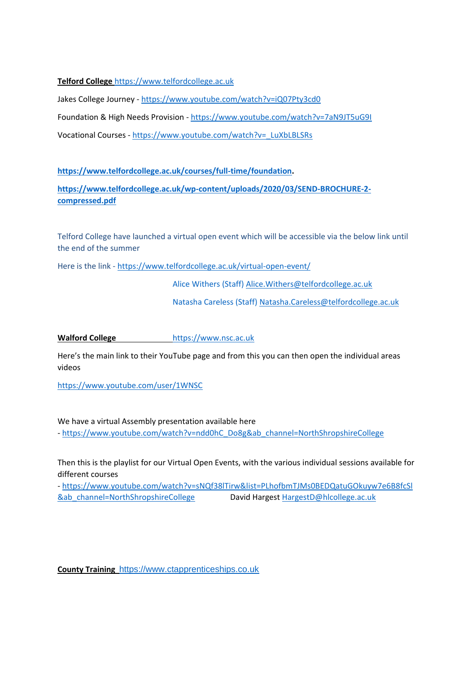**Telford College** [https://www.telfordcollege.ac.uk](https://www.telfordcollege.ac.uk/)

Jakes College Journey - <https://www.youtube.com/watch?v=iQ07Pty3cd0>

Foundation & High Needs Provision - <https://www.youtube.com/watch?v=7aN9JT5uG9I>

Vocational Courses - [https://www.youtube.com/watch?v=\\_LuXbLBLSRs](https://www.youtube.com/watch?v=_LuXbLBLSRs)

**[https://www.telfordcollege.ac.uk/courses/full-time/foundation.](https://www.telfordcollege.ac.uk/courses/full-time/foundation)** 

**[https://www.telfordcollege.ac.uk/wp-content/uploads/2020/03/SEND-BROCHURE-2](https://www.telfordcollege.ac.uk/wp-content/uploads/2020/03/SEND-BROCHURE-2-compressed.pdf) [compressed.pdf](https://www.telfordcollege.ac.uk/wp-content/uploads/2020/03/SEND-BROCHURE-2-compressed.pdf)**

Telford College have launched a virtual open event which will be accessible via the below link until the end of the summer

Here is the link - <https://www.telfordcollege.ac.uk/virtual-open-event/>

Alice Withers (Staff) [Alice.Withers@telfordcollege.ac.uk](mailto:Alice.Withers@telfordcollege.ac.uk)

Natasha Careless (Staff[\) Natasha.Careless@telfordcollege.ac.uk](mailto:Natasha.Careless@telfordcollege.ac.uk)

**Walford College** [https://www.nsc.ac.uk](https://www.nsc.ac.uk/)

Here's the main link to their YouTube page and from this you can then open the individual areas videos

<https://www.youtube.com/user/1WNSC>

We have a virtual Assembly presentation available here - [https://www.youtube.com/watch?v=ndd0hC\\_Do8g&ab\\_channel=NorthShropshireCollege](https://www.youtube.com/watch?v=ndd0hC_Do8g&ab_channel=NorthShropshireCollege)

Then this is the playlist for our Virtual Open Events, with the various individual sessions available for different courses

- [https://www.youtube.com/watch?v=sNQf38lTirw&list=PLhofbmTJMs0BEDQatuGOkuyw7e6B8fcSl](https://www.youtube.com/watch?v=sNQf38lTirw&list=PLhofbmTJMs0BEDQatuGOkuyw7e6B8fcSl&ab_channel=NorthShropshireCollege) [&ab\\_channel=NorthShropshireCollege](https://www.youtube.com/watch?v=sNQf38lTirw&list=PLhofbmTJMs0BEDQatuGOkuyw7e6B8fcSl&ab_channel=NorthShropshireCollege) David Hargest [HargestD@hlcollege.ac.uk](mailto:HargestD@hlcollege.ac.uk)

**County Training** [https://www.ctapprenticeships.co.uk](https://www.ctapprenticeships.co.uk/)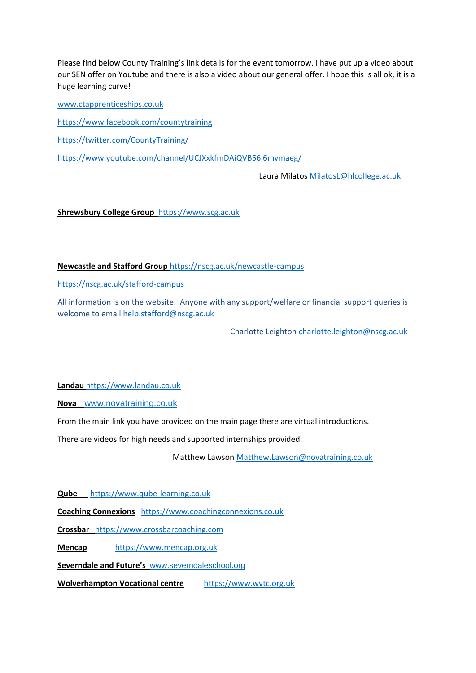Please find below County Training's link details for the event tomorrow. I have put up a video about our SEN offer on Youtube and there is also a video about our general offer. I hope this is all ok, it is a huge learning curve!

[www.ctapprenticeships.co.uk](http://www.ctapprenticeships.co.uk/) <https://www.facebook.com/countytraining> <https://twitter.com/CountyTraining/> <https://www.youtube.com/channel/UCJXxkfmDAiQVB56l6mvmaeg/>

Laura Milatos [MilatosL@hlcollege.ac.uk](mailto:MilatosL@hlcollege.ac.uk)

**Shrewsbury College Group** [https://www.scg.ac.uk](https://www.scg.ac.uk/)

**Newcastle and Stafford Group** <https://nscg.ac.uk/newcastle-campus>

<https://nscg.ac.uk/stafford-campus>

All information is on the website. Anyone with any support/welfare or financial support queries is welcome to email help.stafford@nscg.ac.uk

Charlotte Leighto[n charlotte.leighton@nscg.ac.uk](mailto:charlotte.leighton@nscg.ac.uk)

**Landau** [https://www.landau.co.uk](https://www.landau.co.uk/)

**Nova** [www.novatraining.co.uk](http://www.novatraining.co.uk/)

From the main link you have provided on the main page there are virtual introductions.

There are videos for high needs and supported internships provided.

Matthew Lawson [Matthew.Lawson@novatraining.co.uk](mailto:Matthew.Lawson@novatraining.co.uk)

**Qube** [https://www.qube-learning.co.uk](https://www.qube-learning.co.uk/)

**Coaching Connexions** [https://www.coachingconnexions.co.uk](https://www.coachingconnexions.co.uk/)

**Crossbar** [https://www.crossbarcoaching.com](https://www.crossbarcoaching.com/)

**Mencap** [https://www.mencap.org.uk](https://www.mencap.org.uk/)

**Severndale and Future's** [www.severndaleschool.org](http://www.severndaleschool.org/)

**Wolverhampton Vocational centre** [https://www.wvtc.org.uk](https://www.wvtc.org.uk/)